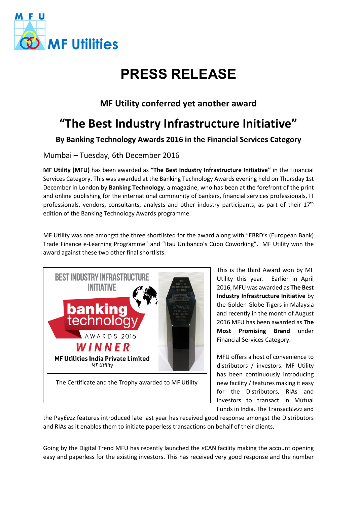

# **PRESS RELEASE**

### **MF Utility conferred yet another award**

## **"The Best Industry Infrastructure Initiative"**

**By Banking Technology Awards 2016 in the Financial Services Category**

Mumbai – Tuesday, 6th December 2016

**MF Utility (MFU)** has been awarded as **"The Best Industry Infrastructure Initiative"** in the Financial Services Category**.** This was awarded at the Banking Technology Awards evening held on Thursday 1st December in London by **Banking Technology**, a magazine, who has been at the forefront of the print and online publishing for the international community of bankers, financial services professionals, IT professionals, vendors, consultants, analysts and other industry participants, as part of their  $17<sup>th</sup>$ edition of the Banking Technology Awards programme.

MF Utility was one amongst the three shortlisted for the award along with "EBRD's (European Bank) Trade Finance e-Learning Programme" and "Itau Unibanco's Cubo Coworking". MF Utility won the award against these two other final shortlists.



This is the third Award won by MF Utility this year. Earlier in April 2016, MFU was awarded as **The Best Industry Infrastructure Initiative** by the Golden Globe Tigers in Malaysia and recently in the month of August 2016 MFU has been awarded as **The Most Promising Brand** under Financial Services Category.

MFU offers a host of convenience to distributors / investors. MF Utility has been continuously introducing new facility / features making it easy for the Distributors, RIAs and investors to transact in Mutual Funds in India. The Transact*Eezz* and

the Pay*Eezz* features introduced late last year has received good response amongst the Distributors and RIAs as it enables them to initiate paperless transactions on behalf of their clients.

Going by the Digital Trend MFU has recently launched the *e*CAN facility making the account opening easy and paperless for the existing investors. This has received very good response and the number